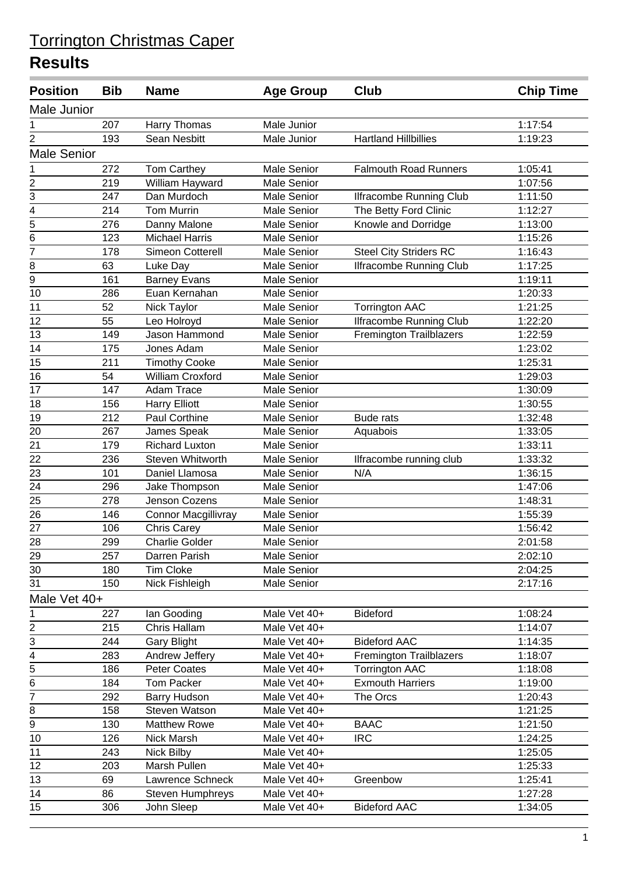| <b>Position</b>             | <b>Bib</b> | <b>Name</b>             | <b>Age Group</b>   | Club                           | <b>Chip Time</b> |  |  |  |
|-----------------------------|------------|-------------------------|--------------------|--------------------------------|------------------|--|--|--|
| Male Junior                 |            |                         |                    |                                |                  |  |  |  |
| 1                           | 207        | <b>Harry Thomas</b>     | Male Junior        |                                | 1:17:54          |  |  |  |
| 2                           | 193        | Sean Nesbitt            | Male Junior        | <b>Hartland Hillbillies</b>    | 1:19:23          |  |  |  |
| <b>Male Senior</b>          |            |                         |                    |                                |                  |  |  |  |
| 1                           | 272        | Tom Carthey             | <b>Male Senior</b> | <b>Falmouth Road Runners</b>   | 1:05:41          |  |  |  |
| $\overline{\mathbf{c}}$     | 219        | William Hayward         | <b>Male Senior</b> |                                | 1:07:56          |  |  |  |
| $\overline{3}$              | 247        | Dan Murdoch             | <b>Male Senior</b> | <b>Ilfracombe Running Club</b> | 1:11:50          |  |  |  |
| $\overline{4}$              | 214        | <b>Tom Murrin</b>       | <b>Male Senior</b> | The Betty Ford Clinic          | 1:12:27          |  |  |  |
| $\overline{5}$              | 276        | Danny Malone            | <b>Male Senior</b> | Knowle and Dorridge            | 1:13:00          |  |  |  |
| 6                           | 123        | <b>Michael Harris</b>   | <b>Male Senior</b> |                                | 1:15:26          |  |  |  |
| $\overline{7}$              | 178        | Simeon Cotterell        | <b>Male Senior</b> | <b>Steel City Striders RC</b>  | 1:16:43          |  |  |  |
| 8                           | 63         | Luke Day                | <b>Male Senior</b> | <b>Ilfracombe Running Club</b> | 1:17:25          |  |  |  |
| 9                           | 161        | <b>Barney Evans</b>     | <b>Male Senior</b> |                                | 1:19:11          |  |  |  |
| 10                          | 286        | Euan Kernahan           | <b>Male Senior</b> |                                | 1:20:33          |  |  |  |
| 11                          | 52         | Nick Taylor             | <b>Male Senior</b> | <b>Torrington AAC</b>          | 1:21:25          |  |  |  |
| 12                          | 55         | Leo Holroyd             | <b>Male Senior</b> | Ilfracombe Running Club        | 1:22:20          |  |  |  |
| 13                          | 149        | Jason Hammond           | <b>Male Senior</b> | <b>Fremington Trailblazers</b> | 1:22:59          |  |  |  |
| 14                          | 175        | Jones Adam              | <b>Male Senior</b> |                                | 1:23:02          |  |  |  |
| 15                          | 211        | <b>Timothy Cooke</b>    | Male Senior        |                                | 1:25:31          |  |  |  |
| 16                          | 54         | <b>William Croxford</b> | <b>Male Senior</b> |                                | 1:29:03          |  |  |  |
| 17                          | 147        | Adam Trace              | <b>Male Senior</b> |                                | 1:30:09          |  |  |  |
| 18                          | 156        | <b>Harry Elliott</b>    | Male Senior        |                                | 1:30:55          |  |  |  |
| 19                          | 212        | Paul Corthine           | <b>Male Senior</b> | <b>Bude rats</b>               | 1:32:48          |  |  |  |
| $\overline{20}$             | 267        | James Speak             | <b>Male Senior</b> | Aquabois                       | 1:33:05          |  |  |  |
| 21                          | 179        | <b>Richard Luxton</b>   | <b>Male Senior</b> |                                | 1:33:11          |  |  |  |
| 22                          | 236        | <b>Steven Whitworth</b> | <b>Male Senior</b> | Ilfracombe running club        | 1:33:32          |  |  |  |
| 23                          | 101        | Daniel Llamosa          | Male Senior        | N/A                            | 1:36:15          |  |  |  |
| 24                          | 296        | Jake Thompson           | <b>Male Senior</b> |                                | 1:47:06          |  |  |  |
| 25                          | 278        | Jenson Cozens           | <b>Male Senior</b> |                                | 1:48:31          |  |  |  |
| 26                          | 146        | Connor Macgillivray     | <b>Male Senior</b> |                                | 1:55:39          |  |  |  |
| 27                          | 106        | Chris Carey             | Male Senior        |                                | 1:56:42          |  |  |  |
| 28                          | 299        | <b>Charlie Golder</b>   | <b>Male Senior</b> |                                | 2:01:58          |  |  |  |
| 29                          | 257        | Darren Parish           | <b>Male Senior</b> |                                | 2:02:10          |  |  |  |
| 30                          | 180        | <b>Tim Cloke</b>        | <b>Male Senior</b> |                                | 2:04:25          |  |  |  |
| 31                          | 150        | Nick Fishleigh          | <b>Male Senior</b> |                                | 2:17:16          |  |  |  |
| Male Vet 40+                |            |                         |                    |                                |                  |  |  |  |
| 1                           | 227        | lan Gooding             | Male Vet 40+       | <b>Bideford</b>                | 1:08:24          |  |  |  |
|                             | 215        | Chris Hallam            | Male Vet 40+       |                                | 1:14:07          |  |  |  |
| $\frac{2}{3}$ $\frac{1}{4}$ | 244        | <b>Gary Blight</b>      | Male Vet 40+       | <b>Bideford AAC</b>            | 1:14:35          |  |  |  |
|                             | 283        | Andrew Jeffery          | Male Vet 40+       | Fremington Trailblazers        | 1:18:07          |  |  |  |
| $\overline{5}$              | 186        | <b>Peter Coates</b>     | Male Vet 40+       | <b>Torrington AAC</b>          | 1:18:08          |  |  |  |
| 6                           | 184        | <b>Tom Packer</b>       | Male Vet 40+       | <b>Exmouth Harriers</b>        | 1:19:00          |  |  |  |
| $\overline{7}$              | 292        | <b>Barry Hudson</b>     | Male Vet 40+       | The Orcs                       | 1:20:43          |  |  |  |
| 8                           | 158        | <b>Steven Watson</b>    | Male Vet 40+       |                                | 1:21:25          |  |  |  |
| $\overline{9}$              | 130        | <b>Matthew Rowe</b>     | Male Vet 40+       | <b>BAAC</b>                    | 1:21:50          |  |  |  |
| 10                          | 126        | Nick Marsh              | Male Vet 40+       | <b>IRC</b>                     | 1:24:25          |  |  |  |
| 11                          | 243        | Nick Bilby              | Male Vet 40+       |                                | 1:25:05          |  |  |  |
| 12                          | 203        | Marsh Pullen            | Male Vet 40+       |                                | 1:25:33          |  |  |  |
| 13                          | 69         | Lawrence Schneck        | Male Vet 40+       | Greenbow                       | 1:25:41          |  |  |  |
| 14                          | 86         | <b>Steven Humphreys</b> | Male Vet 40+       |                                | 1:27:28          |  |  |  |
| 15                          | 306        | John Sleep              | Male Vet 40+       | <b>Bideford AAC</b>            | 1:34:05          |  |  |  |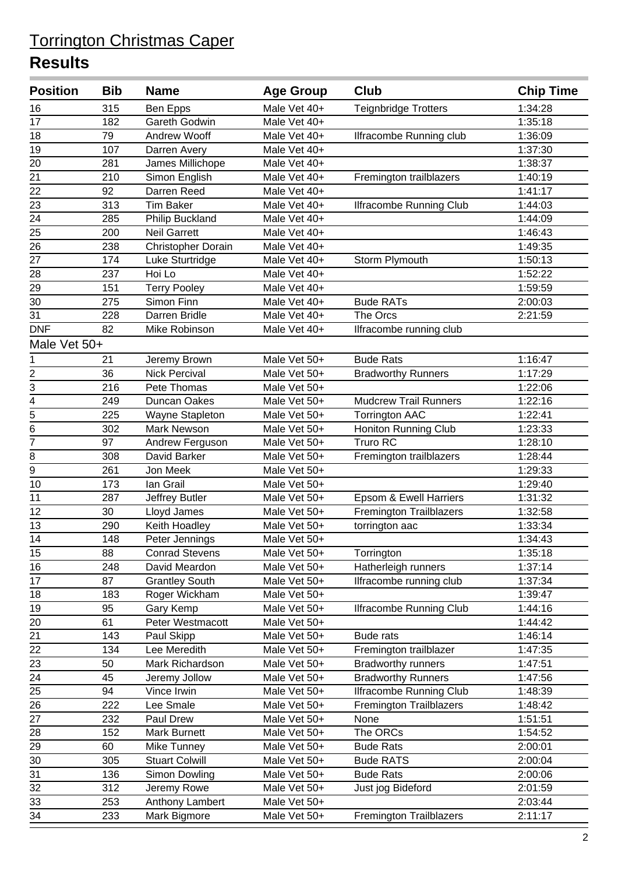| <b>Position</b> | <b>Bib</b> | <b>Name</b>               | <b>Age Group</b>             | <b>Club</b>                    | <b>Chip Time</b>   |
|-----------------|------------|---------------------------|------------------------------|--------------------------------|--------------------|
| 16              | 315        | Ben Epps                  | Male Vet 40+                 | Teignbridge Trotters           | 1:34:28            |
| 17              | 182        | Gareth Godwin             | Male Vet 40+                 |                                | 1:35:18            |
| 18              | 79         | Andrew Wooff              | Male Vet 40+                 | Ilfracombe Running club        | 1:36:09            |
| 19              | 107        | Darren Avery              | Male Vet 40+                 |                                | 1:37:30            |
| 20              | 281        | James Millichope          | Male Vet 40+                 |                                | 1:38:37            |
| 21              | 210        | Simon English             | Male Vet 40+                 | Fremington trailblazers        | 1:40:19            |
| 22              | 92         | Darren Reed               | Male Vet 40+                 |                                | 1:41:17            |
| 23              | 313        | <b>Tim Baker</b>          | Male Vet 40+                 | <b>Ilfracombe Running Club</b> | 1:44:03            |
| 24              | 285        | <b>Philip Buckland</b>    | Male Vet 40+                 |                                | 1:44:09            |
| $\overline{25}$ | 200        | <b>Neil Garrett</b>       | Male Vet 40+                 |                                | 1:46:43            |
| 26              | 238        | Christopher Dorain        | Male Vet 40+                 |                                | 1:49:35            |
| 27              | 174        | Luke Sturtridge           | Male Vet 40+                 | Storm Plymouth                 | 1:50:13            |
| 28              | 237        | Hoi Lo                    | Male Vet 40+                 |                                | 1:52:22            |
| 29              | 151        | <b>Terry Pooley</b>       | Male Vet 40+                 |                                | 1:59:59            |
| 30              | 275        | Simon Finn                | Male Vet 40+                 | <b>Bude RATs</b>               | 2:00:03            |
| 31              | 228        | Darren Bridle             | Male Vet 40+                 | The Orcs                       | 2:21:59            |
| <b>DNF</b>      | 82         | Mike Robinson             | Male Vet 40+                 | Ilfracombe running club        |                    |
| Male Vet 50+    |            |                           |                              |                                |                    |
| 1               | 21         | Jeremy Brown              | Male Vet 50+                 | <b>Bude Rats</b>               | 1:16:47            |
| $\frac{2}{3}$   | 36         | <b>Nick Percival</b>      | Male Vet 50+                 | <b>Bradworthy Runners</b>      | 1:17:29            |
|                 | 216        | Pete Thomas               | Male Vet 50+                 |                                | 1:22:06            |
| $\overline{4}$  | 249        | Duncan Oakes              | Male Vet 50+                 | <b>Mudcrew Trail Runners</b>   | 1:22:16            |
| $\overline{5}$  | 225        | Wayne Stapleton           | Male Vet 50+                 | <b>Torrington AAC</b>          | 1:22:41            |
| $\overline{6}$  | 302        | Mark Newson               | Male Vet 50+                 | Honiton Running Club           | 1:23:33            |
| $\overline{7}$  | 97         | Andrew Ferguson           | Male Vet 50+                 | <b>Truro RC</b>                | 1:28:10            |
| 8               | 308        | David Barker              | Male Vet 50+                 | Fremington trailblazers        | 1:28:44            |
| $\overline{9}$  | 261        | Jon Meek                  | Male Vet 50+                 |                                | 1:29:33            |
| 10              | 173        | lan Grail                 | Male Vet 50+                 |                                | 1:29:40            |
| 11              | 287        | Jeffrey Butler            | Male Vet 50+                 | Epsom & Ewell Harriers         | 1:31:32            |
| 12              | 30         | Lloyd James               | Male Vet 50+                 | Fremington Trailblazers        | 1:32:58            |
| 13              | 290        | Keith Hoadley             | Male Vet 50+                 | torrington aac                 | 1:33:34            |
| 14              | 148        | Peter Jennings            | Male Vet 50+                 |                                | 1:34:43            |
| 15              | 88         | <b>Conrad Stevens</b>     | Male Vet 50+                 | Torrington                     | 1:35:18            |
| 16              | 248        | David Meardon             | Male Vet 50+                 | Hatherleigh runners            | 1:37:14            |
| 17              | 87         | <b>Grantley South</b>     | Male Vet 50+                 | Ilfracombe running club        | 1:37:34            |
| 18              | 183        | Roger Wickham             | Male Vet 50+                 |                                | 1:39:47            |
| 19              | 95         | Gary Kemp                 | Male Vet 50+                 | <b>Ilfracombe Running Club</b> | 1:44:16            |
| 20              | 61         | Peter Westmacott          | Male Vet 50+                 |                                | 1:44:42            |
| 21              | 143        | Paul Skipp                | Male Vet 50+                 | <b>Bude rats</b>               | 1:46:14            |
| 22              | 134        | Lee Meredith              | Male Vet 50+                 | Fremington trailblazer         | 1:47:35            |
| 23              | 50         | Mark Richardson           | Male Vet 50+                 | <b>Bradworthy runners</b>      | 1:47:51            |
| 24              | 45         | Jeremy Jollow             | Male Vet 50+                 | <b>Bradworthy Runners</b>      | 1:47:56            |
| 25              | 94         | Vince Irwin               | Male Vet 50+                 | <b>Ilfracombe Running Club</b> | 1:48:39            |
| 26              | 222        | Lee Smale                 | Male Vet 50+                 | <b>Fremington Trailblazers</b> | 1:48:42            |
| 27<br>28        | 232<br>152 | Paul Drew<br>Mark Burnett | Male Vet 50+<br>Male Vet 50+ | None<br>The ORCs               | 1:51:51<br>1:54:52 |
| 29              | 60         | Mike Tunney               | Male Vet 50+                 | <b>Bude Rats</b>               | 2:00:01            |
| 30              | 305        | <b>Stuart Colwill</b>     | Male Vet 50+                 | <b>Bude RATS</b>               | 2:00:04            |
| $\overline{31}$ | 136        | Simon Dowling             | Male Vet 50+                 | <b>Bude Rats</b>               | 2:00:06            |
| 32              | 312        | Jeremy Rowe               | Male Vet 50+                 | Just jog Bideford              | 2:01:59            |
| 33              | 253        | Anthony Lambert           | Male Vet 50+                 |                                | 2:03:44            |
| 34              | 233        | Mark Bigmore              | Male Vet 50+                 | <b>Fremington Trailblazers</b> | 2:11:17            |
|                 |            |                           |                              |                                |                    |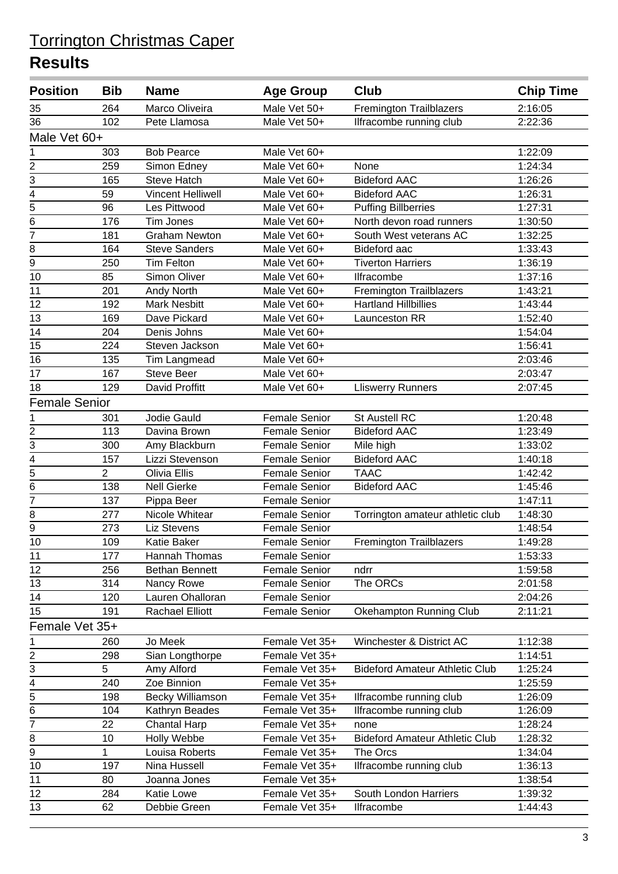| <b>Position</b>         | <b>Bib</b>     | <b>Name</b>              | <b>Age Group</b>     | <b>Club</b>                           | <b>Chip Time</b> |  |
|-------------------------|----------------|--------------------------|----------------------|---------------------------------------|------------------|--|
| 35                      | 264            | Marco Oliveira           | Male Vet 50+         | <b>Fremington Trailblazers</b>        | 2:16:05          |  |
| 36                      | 102            | Pete Llamosa             | Male Vet 50+         | Ilfracombe running club               | 2:22:36          |  |
| Male Vet 60+            |                |                          |                      |                                       |                  |  |
| 1                       | 303            | <b>Bob Pearce</b>        | Male Vet 60+         |                                       | 1:22:09          |  |
| $\overline{c}$          | 259            | Simon Edney              | Male Vet 60+         | None                                  | 1:24:34          |  |
| 3                       | 165            | <b>Steve Hatch</b>       | Male Vet 60+         | <b>Bideford AAC</b>                   | 1:26:26          |  |
| 4                       | 59             | <b>Vincent Helliwell</b> | Male Vet 60+         | <b>Bideford AAC</b>                   | 1:26:31          |  |
| $\overline{5}$          | 96             | Les Pittwood             | Male Vet 60+         | <b>Puffing Billberries</b>            | 1:27:31          |  |
| 6                       | 176            | <b>Tim Jones</b>         | Male Vet 60+         | North devon road runners              | 1:30:50          |  |
| $\overline{7}$          | 181            | Graham Newton            | Male Vet 60+         | South West veterans AC                | 1:32:25          |  |
| 8                       | 164            | <b>Steve Sanders</b>     | Male Vet 60+         | Bideford aac                          | 1:33:43          |  |
| $\overline{9}$          | 250            | <b>Tim Felton</b>        | Male Vet 60+         | <b>Tiverton Harriers</b>              | 1:36:19          |  |
| 10                      | 85             | Simon Oliver             | Male Vet 60+         | Ilfracombe                            | 1:37:16          |  |
| 11                      | 201            | Andy North               | Male Vet 60+         | Fremington Trailblazers               | 1:43:21          |  |
| 12                      | 192            | <b>Mark Nesbitt</b>      | Male Vet 60+         | <b>Hartland Hillbillies</b>           | 1:43:44          |  |
| 13                      | 169            | Dave Pickard             | Male Vet 60+         | Launceston RR                         | 1:52:40          |  |
| 14                      | 204            | Denis Johns              | Male Vet 60+         |                                       | 1:54:04          |  |
| 15                      | 224            | Steven Jackson           | Male Vet 60+         |                                       | 1:56:41          |  |
| 16                      | 135            | Tim Langmead             | Male Vet 60+         |                                       | 2:03:46          |  |
| 17                      | 167            | <b>Steve Beer</b>        | Male Vet 60+         |                                       | 2:03:47          |  |
| 18                      | 129            | David Proffitt           | Male Vet 60+         | <b>Lliswerry Runners</b>              | 2:07:45          |  |
| <b>Female Senior</b>    |                |                          |                      |                                       |                  |  |
| 1                       | 301            | Jodie Gauld              | <b>Female Senior</b> | St Austell RC                         | 1:20:48          |  |
| $\overline{\mathbf{c}}$ | 113            | Davina Brown             | <b>Female Senior</b> | <b>Bideford AAC</b>                   | 1:23:49          |  |
| 3                       | 300            | Amy Blackburn            | <b>Female Senior</b> | Mile high                             | 1:33:02          |  |
| $\overline{4}$          | 157            | Lizzi Stevenson          | <b>Female Senior</b> | <b>Bideford AAC</b>                   | 1:40:18          |  |
| 5                       | $\overline{2}$ | Olivia Ellis             | Female Senior        | <b>TAAC</b>                           | 1:42:42          |  |
| 6                       | 138            | <b>Nell Gierke</b>       | <b>Female Senior</b> | <b>Bideford AAC</b>                   | 1:45:46          |  |
| $\overline{7}$          | 137            | Pippa Beer               | <b>Female Senior</b> |                                       | 1:47:11          |  |
| 8                       | 277            | Nicole Whitear           | <b>Female Senior</b> | Torrington amateur athletic club      | 1:48:30          |  |
| 9                       | 273            | <b>Liz Stevens</b>       | Female Senior        |                                       | 1:48:54          |  |
| 10                      | 109            | Katie Baker              | <b>Female Senior</b> | Fremington Trailblazers               | 1:49:28          |  |
| 11                      | 177            | Hannah Thomas            | <b>Female Senior</b> |                                       | 1:53:33          |  |
| 12                      | 256            | <b>Bethan Bennett</b>    | <b>Female Senior</b> | ndrr                                  | 1:59:58          |  |
| 13                      | 314            | Nancy Rowe               | Female Senior        | The ORCs                              | 2:01:58          |  |
| 14                      | 120            | Lauren Ohalloran         | Female Senior        |                                       | 2:04:26          |  |
| 15                      | 191            | <b>Rachael Elliott</b>   | Female Senior        | Okehampton Running Club               | 2:11:21          |  |
| Female Vet 35+          |                |                          |                      |                                       |                  |  |
| 1                       | 260            | Jo Meek                  | Female Vet 35+       | Winchester & District AC              | 1:12:38          |  |
|                         | 298            | Sian Longthorpe          | Female Vet 35+       |                                       | 1:14:51          |  |
| $\frac{2}{3}$           | 5              | Amy Alford               | Female Vet 35+       | <b>Bideford Amateur Athletic Club</b> | 1:25:24          |  |
| 4                       | 240            | Zoe Binnion              | Female Vet 35+       |                                       | 1:25:59          |  |
| $\overline{5}$          | 198            | <b>Becky Williamson</b>  | Female Vet 35+       | Ilfracombe running club               | 1:26:09          |  |
| 6                       | 104            | Kathryn Beades           | Female Vet 35+       | Ilfracombe running club               | 1:26:09          |  |
| $\overline{7}$          | 22             | <b>Chantal Harp</b>      | Female Vet 35+       | none                                  | 1:28:24          |  |
| 8                       | 10             | Holly Webbe              | Female Vet 35+       | <b>Bideford Amateur Athletic Club</b> | 1:28:32          |  |
| 9                       | 1              | Louisa Roberts           | Female Vet 35+       | The Orcs                              | 1:34:04          |  |
| 10                      | 197            | Nina Hussell             | Female Vet 35+       | Ilfracombe running club               | 1:36:13          |  |
| 11                      | 80             | Joanna Jones             | Female Vet 35+       |                                       | 1:38:54          |  |
| 12                      | 284            | Katie Lowe               | Female Vet 35+       | South London Harriers                 | 1:39:32          |  |
| 13                      | 62             | Debbie Green             | Female Vet 35+       | Ilfracombe                            | 1:44:43          |  |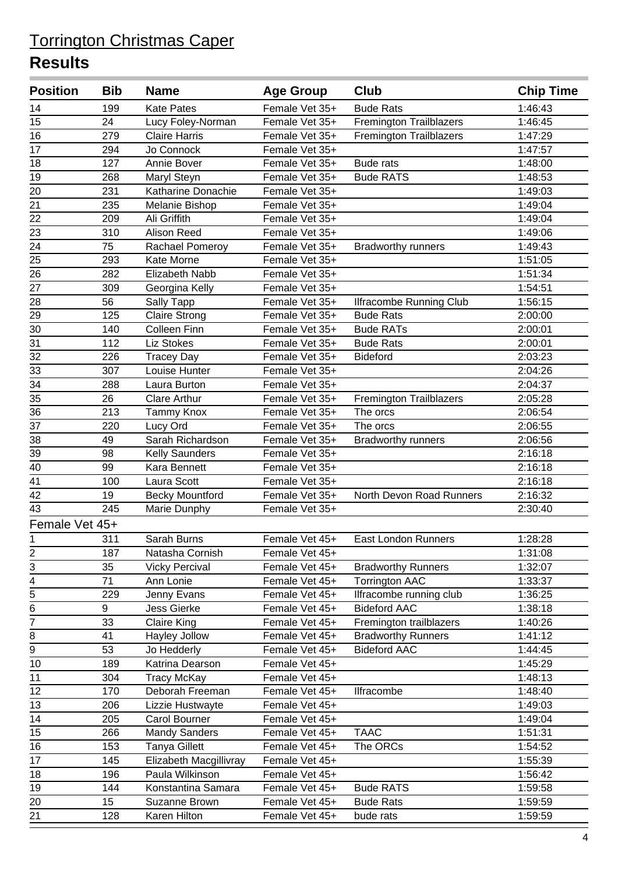| <b>Position</b>                           | <b>Bib</b> | <b>Name</b>            | <b>Age Group</b> | <b>Club</b>                    | <b>Chip Time</b> |
|-------------------------------------------|------------|------------------------|------------------|--------------------------------|------------------|
| 14                                        | 199        | <b>Kate Pates</b>      | Female Vet 35+   | <b>Bude Rats</b>               | 1:46:43          |
| 15                                        | 24         | Lucy Foley-Norman      | Female Vet 35+   | <b>Fremington Trailblazers</b> | 1:46:45          |
| 16                                        | 279        | <b>Claire Harris</b>   | Female Vet 35+   | <b>Fremington Trailblazers</b> | 1:47:29          |
| 17                                        | 294        | Jo Connock             | Female Vet 35+   |                                | 1:47:57          |
| 18                                        | 127        | Annie Bover            | Female Vet 35+   | <b>Bude rats</b>               | 1:48:00          |
| 19                                        | 268        | Maryl Steyn            | Female Vet 35+   | <b>Bude RATS</b>               | 1:48:53          |
| 20                                        | 231        | Katharine Donachie     | Female Vet 35+   |                                | 1:49:03          |
| 21                                        | 235        | Melanie Bishop         | Female Vet 35+   |                                | 1:49:04          |
| 22                                        | 209        | Ali Griffith           | Female Vet 35+   |                                | 1:49:04          |
| $\overline{23}$                           | 310        | <b>Alison Reed</b>     | Female Vet 35+   |                                | 1:49:06          |
| 24                                        | 75         | Rachael Pomeroy        | Female Vet 35+   | <b>Bradworthy runners</b>      | 1:49:43          |
| 25                                        | 293        | Kate Morne             | Female Vet 35+   |                                | 1:51:05          |
| 26                                        | 282        | Elizabeth Nabb         | Female Vet 35+   |                                | 1:51:34          |
| $\overline{27}$                           | 309        | Georgina Kelly         | Female Vet 35+   |                                | 1:54:51          |
| 28                                        | 56         | Sally Tapp             | Female Vet 35+   | <b>Ilfracombe Running Club</b> | 1:56:15          |
| 29                                        | 125        | <b>Claire Strong</b>   | Female Vet 35+   | <b>Bude Rats</b>               | 2:00:00          |
| 30                                        | 140        | <b>Colleen Finn</b>    | Female Vet 35+   | <b>Bude RATs</b>               | 2:00:01          |
| 31                                        | 112        | <b>Liz Stokes</b>      | Female Vet 35+   | <b>Bude Rats</b>               | 2:00:01          |
| 32                                        | 226        | <b>Tracey Day</b>      | Female Vet 35+   | <b>Bideford</b>                | 2:03:23          |
| 33                                        | 307        | Louise Hunter          | Female Vet 35+   |                                | 2:04:26          |
| 34                                        | 288        | Laura Burton           | Female Vet 35+   |                                | 2:04:37          |
| 35                                        | 26         | <b>Clare Arthur</b>    | Female Vet 35+   | <b>Fremington Trailblazers</b> | 2:05:28          |
| 36                                        | 213        | Tammy Knox             | Female Vet 35+   | The orcs                       | 2:06:54          |
| 37                                        | 220        | Lucy Ord               | Female Vet 35+   | The orcs                       | 2:06:55          |
| 38                                        | 49         | Sarah Richardson       | Female Vet 35+   | <b>Bradworthy runners</b>      | 2:06:56          |
| 39                                        | 98         | Kelly Saunders         | Female Vet 35+   |                                | 2:16:18          |
| 40                                        | 99         | Kara Bennett           | Female Vet 35+   |                                | 2:16:18          |
| 41                                        | 100        | Laura Scott            | Female Vet 35+   |                                | 2:16:18          |
| 42                                        | 19         | <b>Becky Mountford</b> | Female Vet 35+   | North Devon Road Runners       | 2:16:32          |
| 43                                        | 245        | Marie Dunphy           | Female Vet 35+   |                                | 2:30:40          |
| Female Vet 45+                            |            |                        |                  |                                |                  |
| 1                                         | 311        | Sarah Burns            | Female Vet 45+   | <b>East London Runners</b>     | 1:28:28          |
| $rac{2}{3}$                               | 187        | Natasha Cornish        | Female Vet 45+   |                                | 1:31:08          |
|                                           | 35         | <b>Vicky Percival</b>  | Female Vet 45+   | <b>Bradworthy Runners</b>      | 1:32:07          |
|                                           | 71         | Ann Lonie              | Female Vet 45+   | <b>Torrington AAC</b>          | 1:33:37          |
| $\frac{1}{4}$ $\frac{1}{5}$ $\frac{1}{6}$ | 229        | Jenny Evans            | Female Vet 45+   | Ilfracombe running club        | 1:36:25          |
|                                           | 9          | <b>Jess Gierke</b>     | Female Vet 45+   | <b>Bideford AAC</b>            | 1:38:18          |
| $\overline{7}$                            | 33         | <b>Claire King</b>     | Female Vet 45+   | Fremington trailblazers        | 1:40:26          |
| 8                                         | 41         | Hayley Jollow          | Female Vet 45+   | <b>Bradworthy Runners</b>      | 1:41:12          |
| $\overline{9}$                            | 53         | Jo Hedderly            | Female Vet 45+   | <b>Bideford AAC</b>            | 1:44:45          |
| 10                                        | 189        | Katrina Dearson        | Female Vet 45+   |                                | 1:45:29          |
| 11                                        | 304        | <b>Tracy McKay</b>     | Female Vet 45+   |                                | 1:48:13          |
| 12                                        | 170        | Deborah Freeman        | Female Vet 45+   | Ilfracombe                     | 1:48:40          |
| 13                                        | 206        | Lizzie Hustwayte       | Female Vet 45+   |                                | 1:49:03          |
| 14                                        | 205        | <b>Carol Bourner</b>   | Female Vet 45+   |                                | 1:49:04          |
| 15                                        | 266        | <b>Mandy Sanders</b>   | Female Vet 45+   | <b>TAAC</b>                    | 1:51:31          |
| 16                                        | 153        | <b>Tanya Gillett</b>   | Female Vet 45+   | The ORCs                       | 1:54:52          |
| 17                                        | 145        | Elizabeth Macgillivray | Female Vet 45+   |                                | 1:55:39          |
| 18                                        | 196        | Paula Wilkinson        | Female Vet 45+   |                                | 1:56:42          |
| 19                                        | 144        | Konstantina Samara     | Female Vet 45+   | <b>Bude RATS</b>               | 1:59:58          |
| 20                                        | 15         | Suzanne Brown          | Female Vet 45+   | <b>Bude Rats</b>               | 1:59:59          |
| 21                                        | 128        | Karen Hilton           | Female Vet 45+   | bude rats                      | 1:59:59          |